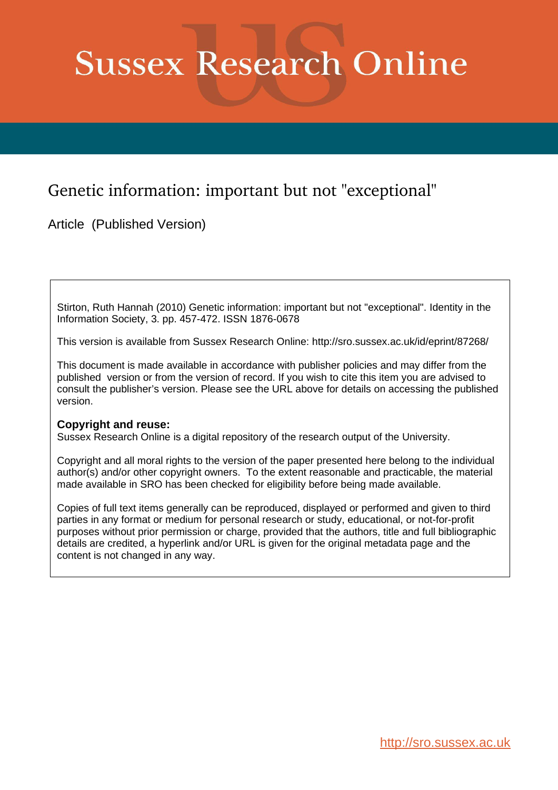# **Sussex Research Online**

# Genetic information: important but not "exceptional"

Article (Published Version)

Stirton, Ruth Hannah (2010) Genetic information: important but not "exceptional". Identity in the Information Society, 3. pp. 457-472. ISSN 1876-0678

This version is available from Sussex Research Online: http://sro.sussex.ac.uk/id/eprint/87268/

This document is made available in accordance with publisher policies and may differ from the published version or from the version of record. If you wish to cite this item you are advised to consult the publisher's version. Please see the URL above for details on accessing the published version.

### **Copyright and reuse:**

Sussex Research Online is a digital repository of the research output of the University.

Copyright and all moral rights to the version of the paper presented here belong to the individual author(s) and/or other copyright owners. To the extent reasonable and practicable, the material made available in SRO has been checked for eligibility before being made available.

Copies of full text items generally can be reproduced, displayed or performed and given to third parties in any format or medium for personal research or study, educational, or not-for-profit purposes without prior permission or charge, provided that the authors, title and full bibliographic details are credited, a hyperlink and/or URL is given for the original metadata page and the content is not changed in any way.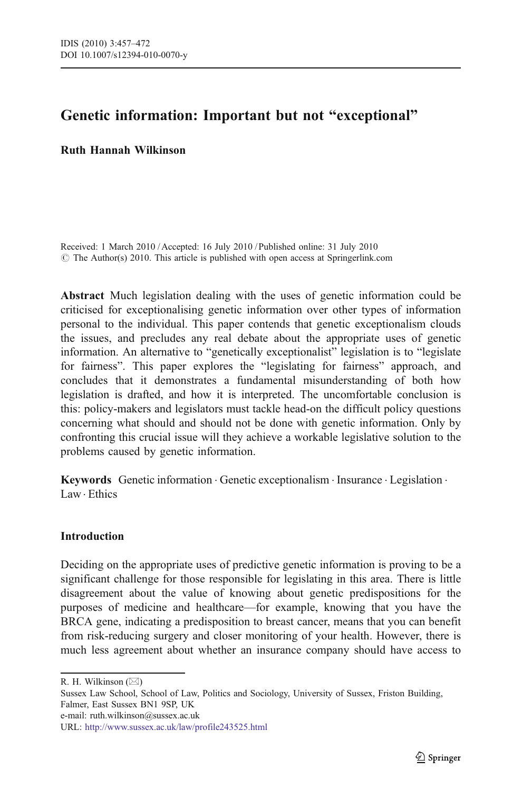## Genetic information: Important but not "exceptional"

Ruth Hannah Wilkinson

Received: 1 March 2010 / Accepted: 16 July 2010 / Published online: 31 July 2010  $\circ$  The Author(s) 2010. This article is published with open access at Springerlink.com

Abstract Much legislation dealing with the uses of genetic information could be criticised for exceptionalising genetic information over other types of information personal to the individual. This paper contends that genetic exceptionalism clouds the issues, and precludes any real debate about the appropriate uses of genetic information. An alternative to "genetically exceptionalist" legislation is to "legislate for fairness". This paper explores the "legislating for fairness" approach, and concludes that it demonstrates a fundamental misunderstanding of both how legislation is drafted, and how it is interpreted. The uncomfortable conclusion is this: policy-makers and legislators must tackle head-on the difficult policy questions concerning what should and should not be done with genetic information. Only by confronting this crucial issue will they achieve a workable legislative solution to the problems caused by genetic information.

Keywords Genetic information . Genetic exceptionalism . Insurance . Legislation . Law. Ethics

#### Introduction

Deciding on the appropriate uses of predictive genetic information is proving to be a significant challenge for those responsible for legislating in this area. There is little disagreement about the value of knowing about genetic predispositions for the purposes of medicine and healthcare—for example, knowing that you have the BRCA gene, indicating a predisposition to breast cancer, means that you can benefit from risk-reducing surgery and closer monitoring of your health. However, there is much less agreement about whether an insurance company should have access to

R. H. Wilkinson  $(\boxtimes)$ 

Sussex Law School, School of Law, Politics and Sociology, University of Sussex, Friston Building, Falmer, East Sussex BN1 9SP, UK

e-mail: ruth.wilkinson@sussex.ac.uk

URL: http://www.sussex.ac.uk/law/profile243525.html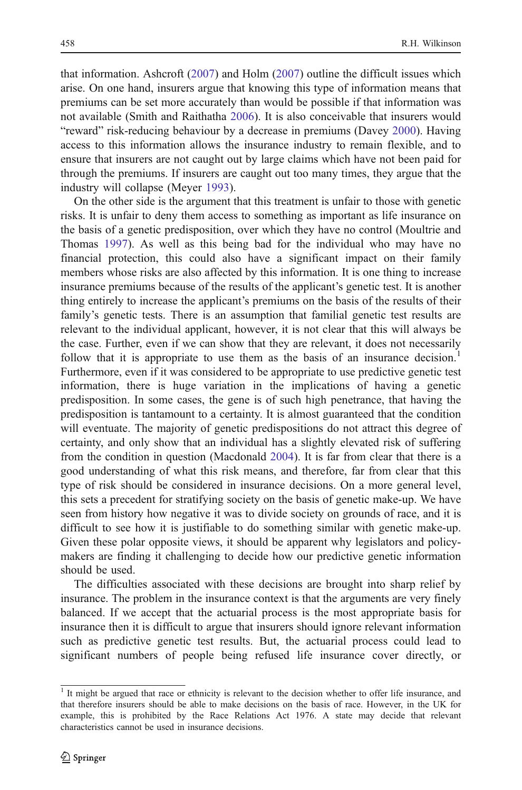that information. Ashcroft ([2007\)](#page-15-0) and Holm [\(2007](#page-16-0)) outline the difficult issues which arise. On one hand, insurers argue that knowing this type of information means that premiums can be set more accurately than would be possible if that information was not available (Smith and Raithatha [2006](#page-16-0)). It is also conceivable that insurers would "reward" risk-reducing behaviour by a decrease in premiums (Davey [2000](#page-15-0)). Having access to this information allows the insurance industry to remain flexible, and to ensure that insurers are not caught out by large claims which have not been paid for through the premiums. If insurers are caught out too many times, they argue that the industry will collapse (Meyer [1993](#page-16-0)).

On the other side is the argument that this treatment is unfair to those with genetic risks. It is unfair to deny them access to something as important as life insurance on the basis of a genetic predisposition, over which they have no control (Moultrie and Thomas [1997\)](#page-16-0). As well as this being bad for the individual who may have no financial protection, this could also have a significant impact on their family members whose risks are also affected by this information. It is one thing to increase insurance premiums because of the results of the applicant's genetic test. It is another thing entirely to increase the applicant's premiums on the basis of the results of their family's genetic tests. There is an assumption that familial genetic test results are relevant to the individual applicant, however, it is not clear that this will always be the case. Further, even if we can show that they are relevant, it does not necessarily follow that it is appropriate to use them as the basis of an insurance decision.<sup>1</sup> Furthermore, even if it was considered to be appropriate to use predictive genetic test information, there is huge variation in the implications of having a genetic predisposition. In some cases, the gene is of such high penetrance, that having the predisposition is tantamount to a certainty. It is almost guaranteed that the condition will eventuate. The majority of genetic predispositions do not attract this degree of certainty, and only show that an individual has a slightly elevated risk of suffering from the condition in question (Macdonald [2004\)](#page-16-0). It is far from clear that there is a good understanding of what this risk means, and therefore, far from clear that this type of risk should be considered in insurance decisions. On a more general level, this sets a precedent for stratifying society on the basis of genetic make-up. We have seen from history how negative it was to divide society on grounds of race, and it is difficult to see how it is justifiable to do something similar with genetic make-up. Given these polar opposite views, it should be apparent why legislators and policymakers are finding it challenging to decide how our predictive genetic information should be used.

The difficulties associated with these decisions are brought into sharp relief by insurance. The problem in the insurance context is that the arguments are very finely balanced. If we accept that the actuarial process is the most appropriate basis for insurance then it is difficult to argue that insurers should ignore relevant information such as predictive genetic test results. But, the actuarial process could lead to significant numbers of people being refused life insurance cover directly, or

<sup>&</sup>lt;sup>1</sup> It might be argued that race or ethnicity is relevant to the decision whether to offer life insurance, and that therefore insurers should be able to make decisions on the basis of race. However, in the UK for example, this is prohibited by the Race Relations Act 1976. A state may decide that relevant characteristics cannot be used in insurance decisions.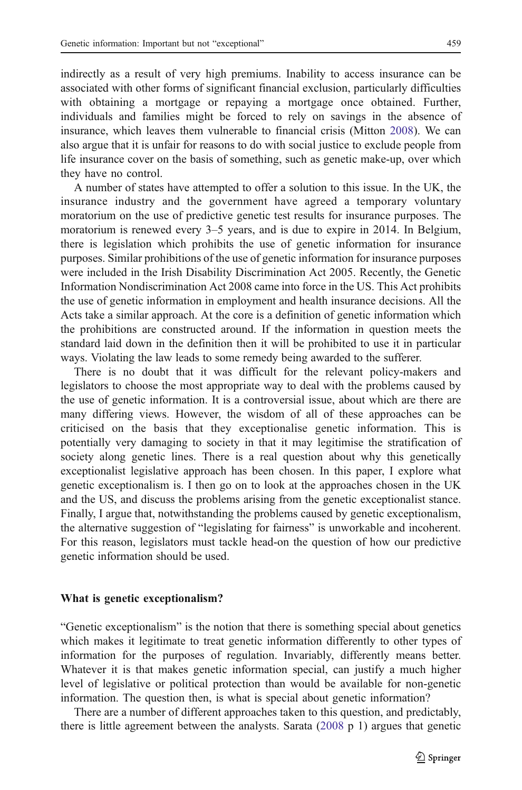indirectly as a result of very high premiums. Inability to access insurance can be associated with other forms of significant financial exclusion, particularly difficulties with obtaining a mortgage or repaying a mortgage once obtained. Further, individuals and families might be forced to rely on savings in the absence of insurance, which leaves them vulnerable to financial crisis (Mitton [2008](#page-16-0)). We can also argue that it is unfair for reasons to do with social justice to exclude people from life insurance cover on the basis of something, such as genetic make-up, over which they have no control.

A number of states have attempted to offer a solution to this issue. In the UK, the insurance industry and the government have agreed a temporary voluntary moratorium on the use of predictive genetic test results for insurance purposes. The moratorium is renewed every 3–5 years, and is due to expire in 2014. In Belgium, there is legislation which prohibits the use of genetic information for insurance purposes. Similar prohibitions of the use of genetic information for insurance purposes were included in the Irish Disability Discrimination Act 2005. Recently, the Genetic Information Nondiscrimination Act 2008 came into force in the US. This Act prohibits the use of genetic information in employment and health insurance decisions. All the Acts take a similar approach. At the core is a definition of genetic information which the prohibitions are constructed around. If the information in question meets the standard laid down in the definition then it will be prohibited to use it in particular ways. Violating the law leads to some remedy being awarded to the sufferer.

There is no doubt that it was difficult for the relevant policy-makers and legislators to choose the most appropriate way to deal with the problems caused by the use of genetic information. It is a controversial issue, about which are there are many differing views. However, the wisdom of all of these approaches can be criticised on the basis that they exceptionalise genetic information. This is potentially very damaging to society in that it may legitimise the stratification of society along genetic lines. There is a real question about why this genetically exceptionalist legislative approach has been chosen. In this paper, I explore what genetic exceptionalism is. I then go on to look at the approaches chosen in the UK and the US, and discuss the problems arising from the genetic exceptionalist stance. Finally, I argue that, notwithstanding the problems caused by genetic exceptionalism, the alternative suggestion of "legislating for fairness" is unworkable and incoherent. For this reason, legislators must tackle head-on the question of how our predictive genetic information should be used.

#### What is genetic exceptionalism?

"Genetic exceptionalism" is the notion that there is something special about genetics which makes it legitimate to treat genetic information differently to other types of information for the purposes of regulation. Invariably, differently means better. Whatever it is that makes genetic information special, can justify a much higher level of legislative or political protection than would be available for non-genetic information. The question then, is what is special about genetic information?

There are a number of different approaches taken to this question, and predictably, there is little agreement between the analysts. Sarata  $(2008 \text{ p } 1)$  $(2008 \text{ p } 1)$  $(2008 \text{ p } 1)$  argues that genetic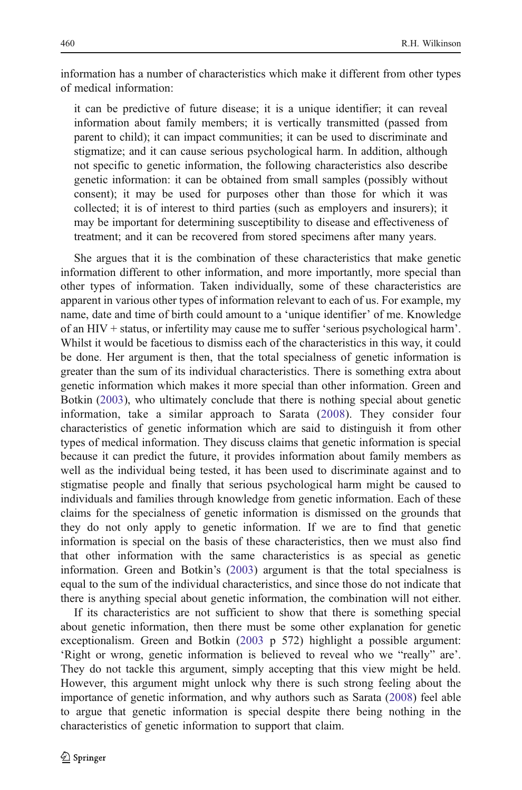information has a number of characteristics which make it different from other types of medical information:

it can be predictive of future disease; it is a unique identifier; it can reveal information about family members; it is vertically transmitted (passed from parent to child); it can impact communities; it can be used to discriminate and stigmatize; and it can cause serious psychological harm. In addition, although not specific to genetic information, the following characteristics also describe genetic information: it can be obtained from small samples (possibly without consent); it may be used for purposes other than those for which it was collected; it is of interest to third parties (such as employers and insurers); it may be important for determining susceptibility to disease and effectiveness of treatment; and it can be recovered from stored specimens after many years.

She argues that it is the combination of these characteristics that make genetic information different to other information, and more importantly, more special than other types of information. Taken individually, some of these characteristics are apparent in various other types of information relevant to each of us. For example, my name, date and time of birth could amount to a 'unique identifier' of me. Knowledge of an HIV + status, or infertility may cause me to suffer 'serious psychological harm'. Whilst it would be facetious to dismiss each of the characteristics in this way, it could be done. Her argument is then, that the total specialness of genetic information is greater than the sum of its individual characteristics. There is something extra about genetic information which makes it more special than other information. Green and Botkin [\(2003](#page-16-0)), who ultimately conclude that there is nothing special about genetic information, take a similar approach to Sarata [\(2008\)](#page-16-0). They consider four characteristics of genetic information which are said to distinguish it from other types of medical information. They discuss claims that genetic information is special because it can predict the future, it provides information about family members as well as the individual being tested, it has been used to discriminate against and to stigmatise people and finally that serious psychological harm might be caused to individuals and families through knowledge from genetic information. Each of these claims for the specialness of genetic information is dismissed on the grounds that they do not only apply to genetic information. If we are to find that genetic information is special on the basis of these characteristics, then we must also find that other information with the same characteristics is as special as genetic information. Green and Botkin's ([2003\)](#page-16-0) argument is that the total specialness is equal to the sum of the individual characteristics, and since those do not indicate that there is anything special about genetic information, the combination will not either.

If its characteristics are not sufficient to show that there is something special about genetic information, then there must be some other explanation for genetic exceptionalism. Green and Botkin [\(2003](#page-16-0) p 572) highlight a possible argument: 'Right or wrong, genetic information is believed to reveal who we "really" are'. They do not tackle this argument, simply accepting that this view might be held. However, this argument might unlock why there is such strong feeling about the importance of genetic information, and why authors such as Sarata ([2008\)](#page-16-0) feel able to argue that genetic information is special despite there being nothing in the characteristics of genetic information to support that claim.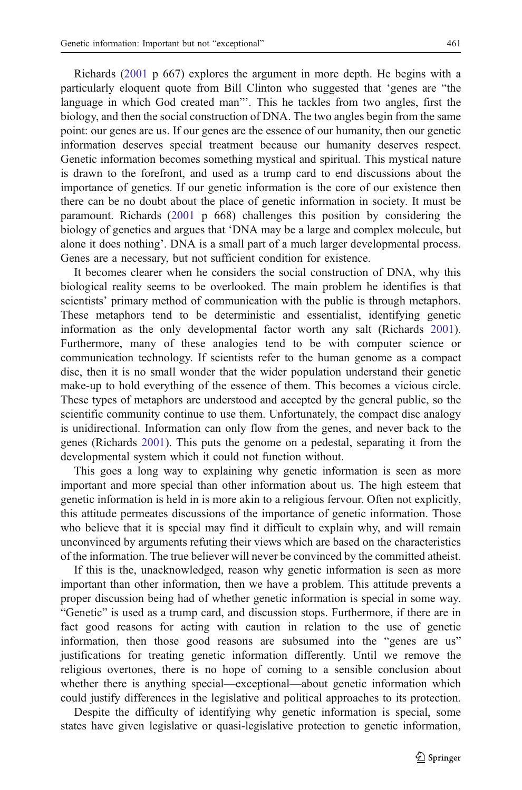Richards ([2001](#page-16-0) p 667) explores the argument in more depth. He begins with a particularly eloquent quote from Bill Clinton who suggested that 'genes are "the language in which God created man"'. This he tackles from two angles, first the biology, and then the social construction of DNA. The two angles begin from the same point: our genes are us. If our genes are the essence of our humanity, then our genetic information deserves special treatment because our humanity deserves respect. Genetic information becomes something mystical and spiritual. This mystical nature is drawn to the forefront, and used as a trump card to end discussions about the importance of genetics. If our genetic information is the core of our existence then there can be no doubt about the place of genetic information in society. It must be paramount. Richards [\(2001](#page-16-0) p 668) challenges this position by considering the biology of genetics and argues that 'DNA may be a large and complex molecule, but alone it does nothing'. DNA is a small part of a much larger developmental process. Genes are a necessary, but not sufficient condition for existence.

It becomes clearer when he considers the social construction of DNA, why this biological reality seems to be overlooked. The main problem he identifies is that scientists' primary method of communication with the public is through metaphors. These metaphors tend to be deterministic and essentialist, identifying genetic information as the only developmental factor worth any salt (Richards [2001\)](#page-16-0). Furthermore, many of these analogies tend to be with computer science or communication technology. If scientists refer to the human genome as a compact disc, then it is no small wonder that the wider population understand their genetic make-up to hold everything of the essence of them. This becomes a vicious circle. These types of metaphors are understood and accepted by the general public, so the scientific community continue to use them. Unfortunately, the compact disc analogy is unidirectional. Information can only flow from the genes, and never back to the genes (Richards [2001](#page-16-0)). This puts the genome on a pedestal, separating it from the developmental system which it could not function without.

This goes a long way to explaining why genetic information is seen as more important and more special than other information about us. The high esteem that genetic information is held in is more akin to a religious fervour. Often not explicitly, this attitude permeates discussions of the importance of genetic information. Those who believe that it is special may find it difficult to explain why, and will remain unconvinced by arguments refuting their views which are based on the characteristics of the information. The true believer will never be convinced by the committed atheist.

If this is the, unacknowledged, reason why genetic information is seen as more important than other information, then we have a problem. This attitude prevents a proper discussion being had of whether genetic information is special in some way. "Genetic" is used as a trump card, and discussion stops. Furthermore, if there are in fact good reasons for acting with caution in relation to the use of genetic information, then those good reasons are subsumed into the "genes are us" justifications for treating genetic information differently. Until we remove the religious overtones, there is no hope of coming to a sensible conclusion about whether there is anything special—exceptional—about genetic information which could justify differences in the legislative and political approaches to its protection.

Despite the difficulty of identifying why genetic information is special, some states have given legislative or quasi-legislative protection to genetic information,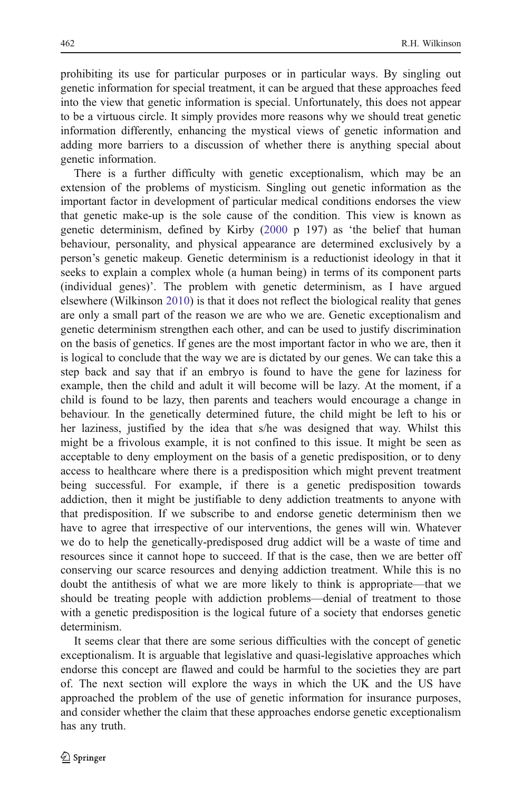prohibiting its use for particular purposes or in particular ways. By singling out genetic information for special treatment, it can be argued that these approaches feed into the view that genetic information is special. Unfortunately, this does not appear to be a virtuous circle. It simply provides more reasons why we should treat genetic information differently, enhancing the mystical views of genetic information and adding more barriers to a discussion of whether there is anything special about genetic information.

There is a further difficulty with genetic exceptionalism, which may be an extension of the problems of mysticism. Singling out genetic information as the important factor in development of particular medical conditions endorses the view that genetic make-up is the sole cause of the condition. This view is known as genetic determinism, defined by Kirby [\(2000](#page-16-0) p 197) as 'the belief that human behaviour, personality, and physical appearance are determined exclusively by a person's genetic makeup. Genetic determinism is a reductionist ideology in that it seeks to explain a complex whole (a human being) in terms of its component parts (individual genes)'. The problem with genetic determinism, as I have argued elsewhere (Wilkinson [2010\)](#page-16-0) is that it does not reflect the biological reality that genes are only a small part of the reason we are who we are. Genetic exceptionalism and genetic determinism strengthen each other, and can be used to justify discrimination on the basis of genetics. If genes are the most important factor in who we are, then it is logical to conclude that the way we are is dictated by our genes. We can take this a step back and say that if an embryo is found to have the gene for laziness for example, then the child and adult it will become will be lazy. At the moment, if a child is found to be lazy, then parents and teachers would encourage a change in behaviour. In the genetically determined future, the child might be left to his or her laziness, justified by the idea that s/he was designed that way. Whilst this might be a frivolous example, it is not confined to this issue. It might be seen as acceptable to deny employment on the basis of a genetic predisposition, or to deny access to healthcare where there is a predisposition which might prevent treatment being successful. For example, if there is a genetic predisposition towards addiction, then it might be justifiable to deny addiction treatments to anyone with that predisposition. If we subscribe to and endorse genetic determinism then we have to agree that irrespective of our interventions, the genes will win. Whatever we do to help the genetically-predisposed drug addict will be a waste of time and resources since it cannot hope to succeed. If that is the case, then we are better off conserving our scarce resources and denying addiction treatment. While this is no doubt the antithesis of what we are more likely to think is appropriate—that we should be treating people with addiction problems—denial of treatment to those with a genetic predisposition is the logical future of a society that endorses genetic determinism.

It seems clear that there are some serious difficulties with the concept of genetic exceptionalism. It is arguable that legislative and quasi-legislative approaches which endorse this concept are flawed and could be harmful to the societies they are part of. The next section will explore the ways in which the UK and the US have approached the problem of the use of genetic information for insurance purposes, and consider whether the claim that these approaches endorse genetic exceptionalism has any truth.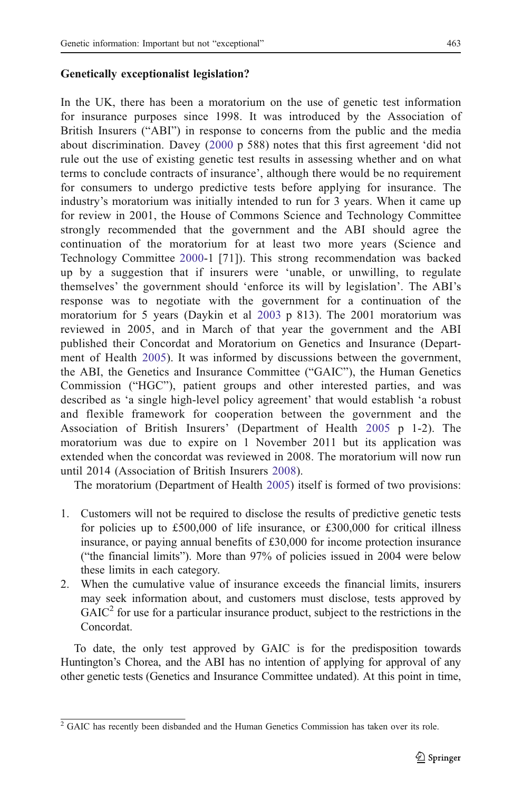#### Genetically exceptionalist legislation?

In the UK, there has been a moratorium on the use of genetic test information for insurance purposes since 1998. It was introduced by the Association of British Insurers ("ABI") in response to concerns from the public and the media about discrimination. Davey [\(2000](#page-15-0) p 588) notes that this first agreement 'did not rule out the use of existing genetic test results in assessing whether and on what terms to conclude contracts of insurance', although there would be no requirement for consumers to undergo predictive tests before applying for insurance. The industry's moratorium was initially intended to run for 3 years. When it came up for review in 2001, the House of Commons Science and Technology Committee strongly recommended that the government and the ABI should agree the continuation of the moratorium for at least two more years (Science and Technology Committee [2000-](#page-16-0)1 [71]). This strong recommendation was backed up by a suggestion that if insurers were 'unable, or unwilling, to regulate themselves' the government should 'enforce its will by legislation'. The ABI's response was to negotiate with the government for a continuation of the moratorium for 5 years (Daykin et al [2003](#page-15-0) p 813). The 2001 moratorium was reviewed in 2005, and in March of that year the government and the ABI published their Concordat and Moratorium on Genetics and Insurance (Department of Health [2005](#page-16-0)). It was informed by discussions between the government, the ABI, the Genetics and Insurance Committee ("GAIC"), the Human Genetics Commission ("HGC"), patient groups and other interested parties, and was described as 'a single high-level policy agreement' that would establish 'a robust and flexible framework for cooperation between the government and the Association of British Insurers' (Department of Health [2005](#page-16-0) p 1-2). The moratorium was due to expire on 1 November 2011 but its application was extended when the concordat was reviewed in 2008. The moratorium will now run until 2014 (Association of British Insurers [2008\)](#page-15-0).

The moratorium (Department of Health [2005](#page-16-0)) itself is formed of two provisions:

- 1. Customers will not be required to disclose the results of predictive genetic tests for policies up to £500,000 of life insurance, or £300,000 for critical illness insurance, or paying annual benefits of £30,000 for income protection insurance ("the financial limits"). More than 97% of policies issued in 2004 were below these limits in each category.
- 2. When the cumulative value of insurance exceeds the financial limits, insurers may seek information about, and customers must disclose, tests approved by  $GAIC<sup>2</sup>$  for use for a particular insurance product, subject to the restrictions in the Concordat.

To date, the only test approved by GAIC is for the predisposition towards Huntington's Chorea, and the ABI has no intention of applying for approval of any other genetic tests (Genetics and Insurance Committee undated). At this point in time,

<sup>&</sup>lt;sup>2</sup> GAIC has recently been disbanded and the Human Genetics Commission has taken over its role.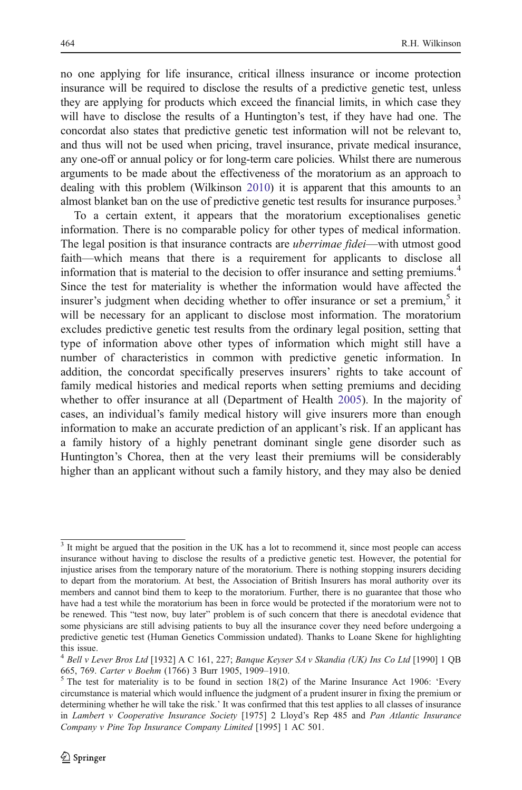no one applying for life insurance, critical illness insurance or income protection insurance will be required to disclose the results of a predictive genetic test, unless they are applying for products which exceed the financial limits, in which case they will have to disclose the results of a Huntington's test, if they have had one. The concordat also states that predictive genetic test information will not be relevant to, and thus will not be used when pricing, travel insurance, private medical insurance, any one-off or annual policy or for long-term care policies. Whilst there are numerous arguments to be made about the effectiveness of the moratorium as an approach to dealing with this problem (Wilkinson [2010](#page-16-0)) it is apparent that this amounts to an almost blanket ban on the use of predictive genetic test results for insurance purposes.<sup>3</sup>

To a certain extent, it appears that the moratorium exceptionalises genetic information. There is no comparable policy for other types of medical information. The legal position is that insurance contracts are *uberrimae fidei*—with utmost good faith—which means that there is a requirement for applicants to disclose all information that is material to the decision to offer insurance and setting premiums.<sup>4</sup> Since the test for materiality is whether the information would have affected the insurer's judgment when deciding whether to offer insurance or set a premium,<sup>5</sup> it will be necessary for an applicant to disclose most information. The moratorium excludes predictive genetic test results from the ordinary legal position, setting that type of information above other types of information which might still have a number of characteristics in common with predictive genetic information. In addition, the concordat specifically preserves insurers' rights to take account of family medical histories and medical reports when setting premiums and deciding whether to offer insurance at all (Department of Health [2005\)](#page-16-0). In the majority of cases, an individual's family medical history will give insurers more than enough information to make an accurate prediction of an applicant's risk. If an applicant has a family history of a highly penetrant dominant single gene disorder such as Huntington's Chorea, then at the very least their premiums will be considerably higher than an applicant without such a family history, and they may also be denied

<sup>&</sup>lt;sup>3</sup> It might be argued that the position in the UK has a lot to recommend it, since most people can access insurance without having to disclose the results of a predictive genetic test. However, the potential for injustice arises from the temporary nature of the moratorium. There is nothing stopping insurers deciding to depart from the moratorium. At best, the Association of British Insurers has moral authority over its members and cannot bind them to keep to the moratorium. Further, there is no guarantee that those who have had a test while the moratorium has been in force would be protected if the moratorium were not to be renewed. This "test now, buy later" problem is of such concern that there is anecdotal evidence that some physicians are still advising patients to buy all the insurance cover they need before undergoing a predictive genetic test (Human Genetics Commission undated). Thanks to Loane Skene for highlighting this issue.

<sup>4</sup> Bell v Lever Bros Ltd [1932] A C 161, 227; Banque Keyser SA v Skandia (UK) Ins Co Ltd [1990] 1 QB 665, 769. Carter v Boehm (1766) 3 Burr 1905, 1909–1910.<br><sup>5</sup> The test for materiality is to be found in section 18(2) of the Marine Insurance Act 1906: 'Every

circumstance is material which would influence the judgment of a prudent insurer in fixing the premium or determining whether he will take the risk.' It was confirmed that this test applies to all classes of insurance in Lambert v Cooperative Insurance Society [1975] 2 Lloyd's Rep 485 and Pan Atlantic Insurance Company v Pine Top Insurance Company Limited [1995] 1 AC 501.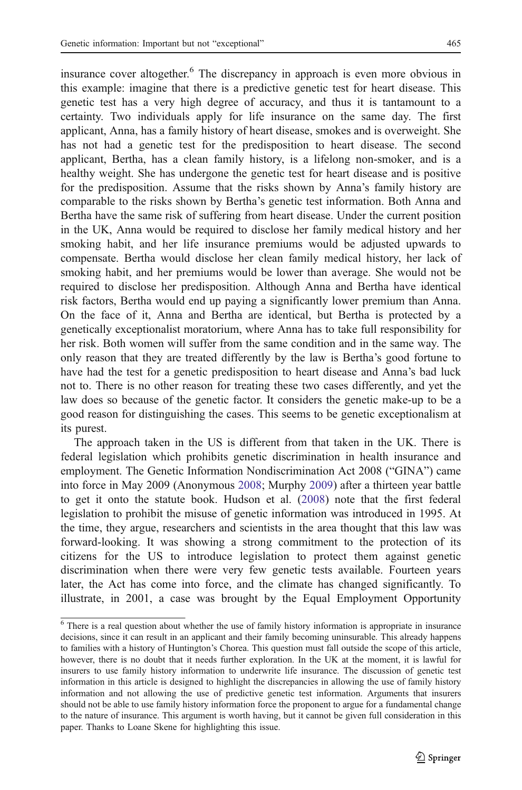insurance cover altogether.<sup>6</sup> The discrepancy in approach is even more obvious in this example: imagine that there is a predictive genetic test for heart disease. This genetic test has a very high degree of accuracy, and thus it is tantamount to a certainty. Two individuals apply for life insurance on the same day. The first applicant, Anna, has a family history of heart disease, smokes and is overweight. She has not had a genetic test for the predisposition to heart disease. The second applicant, Bertha, has a clean family history, is a lifelong non-smoker, and is a healthy weight. She has undergone the genetic test for heart disease and is positive for the predisposition. Assume that the risks shown by Anna's family history are comparable to the risks shown by Bertha's genetic test information. Both Anna and Bertha have the same risk of suffering from heart disease. Under the current position in the UK, Anna would be required to disclose her family medical history and her smoking habit, and her life insurance premiums would be adjusted upwards to compensate. Bertha would disclose her clean family medical history, her lack of smoking habit, and her premiums would be lower than average. She would not be required to disclose her predisposition. Although Anna and Bertha have identical risk factors, Bertha would end up paying a significantly lower premium than Anna. On the face of it, Anna and Bertha are identical, but Bertha is protected by a genetically exceptionalist moratorium, where Anna has to take full responsibility for her risk. Both women will suffer from the same condition and in the same way. The only reason that they are treated differently by the law is Bertha's good fortune to have had the test for a genetic predisposition to heart disease and Anna's bad luck not to. There is no other reason for treating these two cases differently, and yet the law does so because of the genetic factor. It considers the genetic make-up to be a good reason for distinguishing the cases. This seems to be genetic exceptionalism at its purest.

The approach taken in the US is different from that taken in the UK. There is federal legislation which prohibits genetic discrimination in health insurance and employment. The Genetic Information Nondiscrimination Act 2008 ("GINA") came into force in May 2009 (Anonymous [2008](#page-15-0); Murphy [2009\)](#page-16-0) after a thirteen year battle to get it onto the statute book. Hudson et al. ([2008\)](#page-16-0) note that the first federal legislation to prohibit the misuse of genetic information was introduced in 1995. At the time, they argue, researchers and scientists in the area thought that this law was forward-looking. It was showing a strong commitment to the protection of its citizens for the US to introduce legislation to protect them against genetic discrimination when there were very few genetic tests available. Fourteen years later, the Act has come into force, and the climate has changed significantly. To illustrate, in 2001, a case was brought by the Equal Employment Opportunity

<sup>&</sup>lt;sup>6</sup> There is a real question about whether the use of family history information is appropriate in insurance decisions, since it can result in an applicant and their family becoming uninsurable. This already happens to families with a history of Huntington's Chorea. This question must fall outside the scope of this article, however, there is no doubt that it needs further exploration. In the UK at the moment, it is lawful for insurers to use family history information to underwrite life insurance. The discussion of genetic test information in this article is designed to highlight the discrepancies in allowing the use of family history information and not allowing the use of predictive genetic test information. Arguments that insurers should not be able to use family history information force the proponent to argue for a fundamental change to the nature of insurance. This argument is worth having, but it cannot be given full consideration in this paper. Thanks to Loane Skene for highlighting this issue.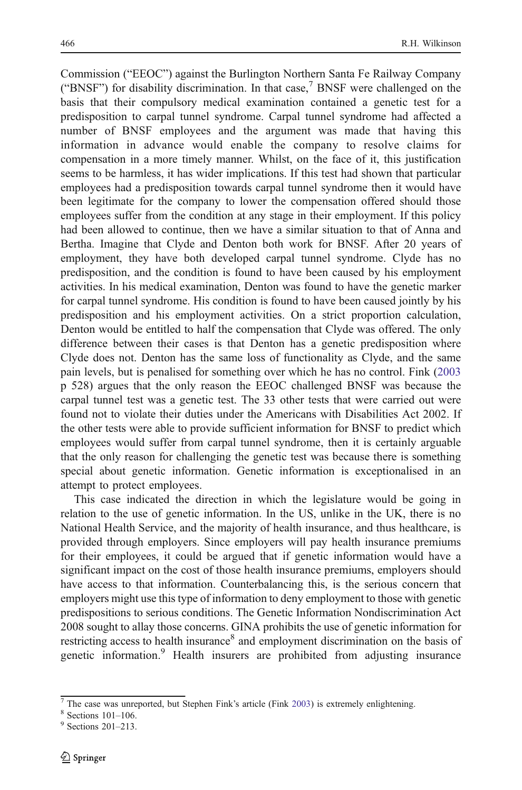Commission ("EEOC") against the Burlington Northern Santa Fe Railway Company ("BNSF") for disability discrimination. In that case,<sup>7</sup> BNSF were challenged on the basis that their compulsory medical examination contained a genetic test for a predisposition to carpal tunnel syndrome. Carpal tunnel syndrome had affected a number of BNSF employees and the argument was made that having this information in advance would enable the company to resolve claims for compensation in a more timely manner. Whilst, on the face of it, this justification seems to be harmless, it has wider implications. If this test had shown that particular employees had a predisposition towards carpal tunnel syndrome then it would have been legitimate for the company to lower the compensation offered should those employees suffer from the condition at any stage in their employment. If this policy had been allowed to continue, then we have a similar situation to that of Anna and Bertha. Imagine that Clyde and Denton both work for BNSF. After 20 years of employment, they have both developed carpal tunnel syndrome. Clyde has no predisposition, and the condition is found to have been caused by his employment activities. In his medical examination, Denton was found to have the genetic marker for carpal tunnel syndrome. His condition is found to have been caused jointly by his predisposition and his employment activities. On a strict proportion calculation, Denton would be entitled to half the compensation that Clyde was offered. The only difference between their cases is that Denton has a genetic predisposition where Clyde does not. Denton has the same loss of functionality as Clyde, and the same pain levels, but is penalised for something over which he has no control. Fink [\(2003](#page-16-0) p 528) argues that the only reason the EEOC challenged BNSF was because the carpal tunnel test was a genetic test. The 33 other tests that were carried out were found not to violate their duties under the Americans with Disabilities Act 2002. If the other tests were able to provide sufficient information for BNSF to predict which employees would suffer from carpal tunnel syndrome, then it is certainly arguable that the only reason for challenging the genetic test was because there is something special about genetic information. Genetic information is exceptionalised in an attempt to protect employees.

This case indicated the direction in which the legislature would be going in relation to the use of genetic information. In the US, unlike in the UK, there is no National Health Service, and the majority of health insurance, and thus healthcare, is provided through employers. Since employers will pay health insurance premiums for their employees, it could be argued that if genetic information would have a significant impact on the cost of those health insurance premiums, employers should have access to that information. Counterbalancing this, is the serious concern that employers might use this type of information to deny employment to those with genetic predispositions to serious conditions. The Genetic Information Nondiscrimination Act 2008 sought to allay those concerns. GINA prohibits the use of genetic information for restricting access to health insurance<sup>8</sup> and employment discrimination on the basis of genetic information.<sup>9</sup> Health insurers are prohibited from adjusting insurance

<sup>&</sup>lt;sup>7</sup> The case was unreported, but Stephen Fink's article (Fink [2003\)](#page-16-0) is extremely enlightening. <sup>8</sup> Sections 101–106. 9 Sections 201–213.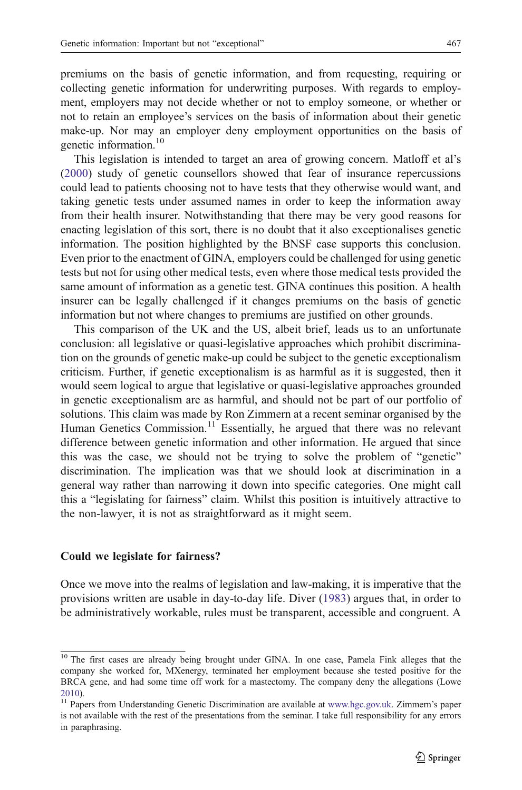premiums on the basis of genetic information, and from requesting, requiring or collecting genetic information for underwriting purposes. With regards to employment, employers may not decide whether or not to employ someone, or whether or not to retain an employee's services on the basis of information about their genetic make-up. Nor may an employer deny employment opportunities on the basis of genetic information.<sup>10</sup>

This legislation is intended to target an area of growing concern. Matloff et al's [\(2000](#page-16-0)) study of genetic counsellors showed that fear of insurance repercussions could lead to patients choosing not to have tests that they otherwise would want, and taking genetic tests under assumed names in order to keep the information away from their health insurer. Notwithstanding that there may be very good reasons for enacting legislation of this sort, there is no doubt that it also exceptionalises genetic information. The position highlighted by the BNSF case supports this conclusion. Even prior to the enactment of GINA, employers could be challenged for using genetic tests but not for using other medical tests, even where those medical tests provided the same amount of information as a genetic test. GINA continues this position. A health insurer can be legally challenged if it changes premiums on the basis of genetic information but not where changes to premiums are justified on other grounds.

This comparison of the UK and the US, albeit brief, leads us to an unfortunate conclusion: all legislative or quasi-legislative approaches which prohibit discrimination on the grounds of genetic make-up could be subject to the genetic exceptionalism criticism. Further, if genetic exceptionalism is as harmful as it is suggested, then it would seem logical to argue that legislative or quasi-legislative approaches grounded in genetic exceptionalism are as harmful, and should not be part of our portfolio of solutions. This claim was made by Ron Zimmern at a recent seminar organised by the Human Genetics Commission.<sup>11</sup> Essentially, he argued that there was no relevant difference between genetic information and other information. He argued that since this was the case, we should not be trying to solve the problem of "genetic" discrimination. The implication was that we should look at discrimination in a general way rather than narrowing it down into specific categories. One might call this a "legislating for fairness" claim. Whilst this position is intuitively attractive to the non-lawyer, it is not as straightforward as it might seem.

#### Could we legislate for fairness?

Once we move into the realms of legislation and law-making, it is imperative that the provisions written are usable in day-to-day life. Diver ([1983\)](#page-16-0) argues that, in order to be administratively workable, rules must be transparent, accessible and congruent. A

<sup>&</sup>lt;sup>10</sup> The first cases are already being brought under GINA. In one case, Pamela Fink alleges that the company she worked for, MXenergy, terminated her employment because she tested positive for the BRCA gene, and had some time off work for a mastectomy. The company deny the allegations (Lowe

[<sup>2010\)</sup>](#page-16-0). <sup>11</sup> Papers from Understanding Genetic Discrimination are available at [www.hgc.gov.uk.](http://dx.doi.org/http://www.hgc.gov.uk) Zimmern's paper is not available with the rest of the presentations from the seminar. I take full responsibility for any errors in paraphrasing.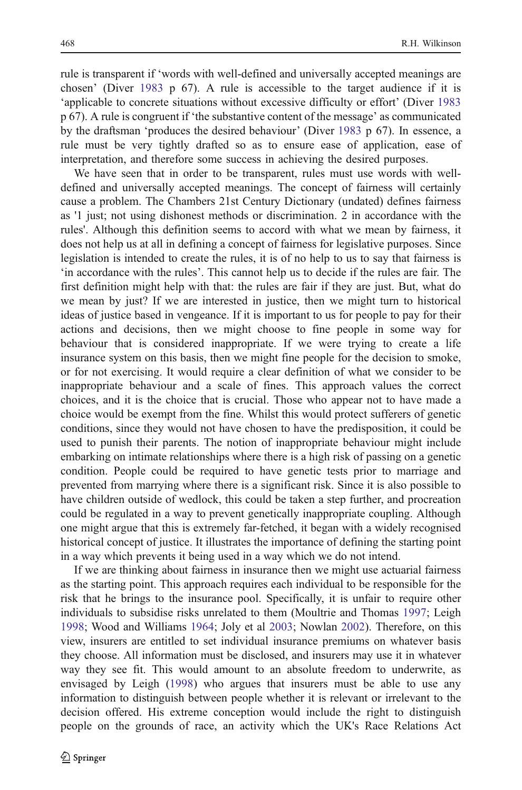rule is transparent if 'words with well-defined and universally accepted meanings are chosen' (Diver [1983](#page-16-0) p 67). A rule is accessible to the target audience if it is 'applicable to concrete situations without excessive difficulty or effort' (Diver [1983](#page-16-0) p 67). A rule is congruent if 'the substantive content of the message' as communicated by the draftsman 'produces the desired behaviour' (Diver [1983](#page-16-0) p 67). In essence, a rule must be very tightly drafted so as to ensure ease of application, ease of interpretation, and therefore some success in achieving the desired purposes.

We have seen that in order to be transparent, rules must use words with welldefined and universally accepted meanings. The concept of fairness will certainly cause a problem. The Chambers 21st Century Dictionary (undated) defines fairness as '1 just; not using dishonest methods or discrimination. 2 in accordance with the rules'. Although this definition seems to accord with what we mean by fairness, it does not help us at all in defining a concept of fairness for legislative purposes. Since legislation is intended to create the rules, it is of no help to us to say that fairness is 'in accordance with the rules'. This cannot help us to decide if the rules are fair. The first definition might help with that: the rules are fair if they are just. But, what do we mean by just? If we are interested in justice, then we might turn to historical ideas of justice based in vengeance. If it is important to us for people to pay for their actions and decisions, then we might choose to fine people in some way for behaviour that is considered inappropriate. If we were trying to create a life insurance system on this basis, then we might fine people for the decision to smoke, or for not exercising. It would require a clear definition of what we consider to be inappropriate behaviour and a scale of fines. This approach values the correct choices, and it is the choice that is crucial. Those who appear not to have made a choice would be exempt from the fine. Whilst this would protect sufferers of genetic conditions, since they would not have chosen to have the predisposition, it could be used to punish their parents. The notion of inappropriate behaviour might include embarking on intimate relationships where there is a high risk of passing on a genetic condition. People could be required to have genetic tests prior to marriage and prevented from marrying where there is a significant risk. Since it is also possible to have children outside of wedlock, this could be taken a step further, and procreation could be regulated in a way to prevent genetically inappropriate coupling. Although one might argue that this is extremely far-fetched, it began with a widely recognised historical concept of justice. It illustrates the importance of defining the starting point in a way which prevents it being used in a way which we do not intend.

If we are thinking about fairness in insurance then we might use actuarial fairness as the starting point. This approach requires each individual to be responsible for the risk that he brings to the insurance pool. Specifically, it is unfair to require other individuals to subsidise risks unrelated to them (Moultrie and Thomas [1997](#page-16-0); Leigh [1998;](#page-16-0) Wood and Williams [1964](#page-16-0); Joly et al [2003;](#page-16-0) Nowlan [2002](#page-16-0)). Therefore, on this view, insurers are entitled to set individual insurance premiums on whatever basis they choose. All information must be disclosed, and insurers may use it in whatever way they see fit. This would amount to an absolute freedom to underwrite, as envisaged by Leigh ([1998\)](#page-16-0) who argues that insurers must be able to use any information to distinguish between people whether it is relevant or irrelevant to the decision offered. His extreme conception would include the right to distinguish people on the grounds of race, an activity which the UK's Race Relations Act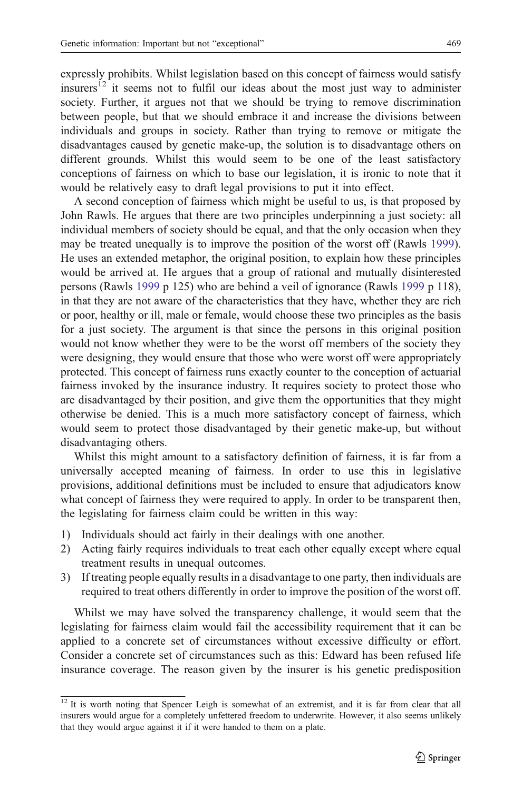expressly prohibits. Whilst legislation based on this concept of fairness would satisfy insurers<sup>12</sup> it seems not to fulfil our ideas about the most just way to administer society. Further, it argues not that we should be trying to remove discrimination between people, but that we should embrace it and increase the divisions between individuals and groups in society. Rather than trying to remove or mitigate the disadvantages caused by genetic make-up, the solution is to disadvantage others on different grounds. Whilst this would seem to be one of the least satisfactory conceptions of fairness on which to base our legislation, it is ironic to note that it would be relatively easy to draft legal provisions to put it into effect.

A second conception of fairness which might be useful to us, is that proposed by John Rawls. He argues that there are two principles underpinning a just society: all individual members of society should be equal, and that the only occasion when they may be treated unequally is to improve the position of the worst off (Rawls [1999\)](#page-16-0). He uses an extended metaphor, the original position, to explain how these principles would be arrived at. He argues that a group of rational and mutually disinterested persons (Rawls [1999](#page-16-0) p 125) who are behind a veil of ignorance (Rawls [1999](#page-16-0) p 118), in that they are not aware of the characteristics that they have, whether they are rich or poor, healthy or ill, male or female, would choose these two principles as the basis for a just society. The argument is that since the persons in this original position would not know whether they were to be the worst off members of the society they were designing, they would ensure that those who were worst off were appropriately protected. This concept of fairness runs exactly counter to the conception of actuarial fairness invoked by the insurance industry. It requires society to protect those who are disadvantaged by their position, and give them the opportunities that they might otherwise be denied. This is a much more satisfactory concept of fairness, which would seem to protect those disadvantaged by their genetic make-up, but without disadvantaging others.

Whilst this might amount to a satisfactory definition of fairness, it is far from a universally accepted meaning of fairness. In order to use this in legislative provisions, additional definitions must be included to ensure that adjudicators know what concept of fairness they were required to apply. In order to be transparent then, the legislating for fairness claim could be written in this way:

- 1) Individuals should act fairly in their dealings with one another.
- 2) Acting fairly requires individuals to treat each other equally except where equal treatment results in unequal outcomes.
- 3) If treating people equally results in a disadvantage to one party, then individuals are required to treat others differently in order to improve the position of the worst off.

Whilst we may have solved the transparency challenge, it would seem that the legislating for fairness claim would fail the accessibility requirement that it can be applied to a concrete set of circumstances without excessive difficulty or effort. Consider a concrete set of circumstances such as this: Edward has been refused life insurance coverage. The reason given by the insurer is his genetic predisposition

 $\frac{12 \text{ It}}{12 \text{ It}}$  is worth noting that Spencer Leigh is somewhat of an extremist, and it is far from clear that all insurers would argue for a completely unfettered freedom to underwrite. However, it also seems unlikely that they would argue against it if it were handed to them on a plate.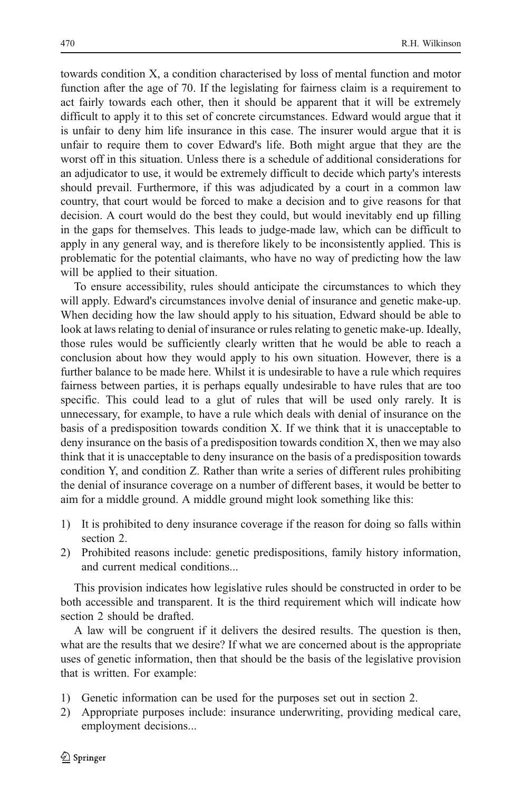towards condition X, a condition characterised by loss of mental function and motor function after the age of 70. If the legislating for fairness claim is a requirement to act fairly towards each other, then it should be apparent that it will be extremely difficult to apply it to this set of concrete circumstances. Edward would argue that it is unfair to deny him life insurance in this case. The insurer would argue that it is unfair to require them to cover Edward's life. Both might argue that they are the worst off in this situation. Unless there is a schedule of additional considerations for an adjudicator to use, it would be extremely difficult to decide which party's interests should prevail. Furthermore, if this was adjudicated by a court in a common law country, that court would be forced to make a decision and to give reasons for that decision. A court would do the best they could, but would inevitably end up filling in the gaps for themselves. This leads to judge-made law, which can be difficult to apply in any general way, and is therefore likely to be inconsistently applied. This is problematic for the potential claimants, who have no way of predicting how the law will be applied to their situation.

To ensure accessibility, rules should anticipate the circumstances to which they will apply. Edward's circumstances involve denial of insurance and genetic make-up. When deciding how the law should apply to his situation, Edward should be able to look at laws relating to denial of insurance or rules relating to genetic make-up. Ideally, those rules would be sufficiently clearly written that he would be able to reach a conclusion about how they would apply to his own situation. However, there is a further balance to be made here. Whilst it is undesirable to have a rule which requires fairness between parties, it is perhaps equally undesirable to have rules that are too specific. This could lead to a glut of rules that will be used only rarely. It is unnecessary, for example, to have a rule which deals with denial of insurance on the basis of a predisposition towards condition X. If we think that it is unacceptable to deny insurance on the basis of a predisposition towards condition X, then we may also think that it is unacceptable to deny insurance on the basis of a predisposition towards condition Y, and condition Z. Rather than write a series of different rules prohibiting the denial of insurance coverage on a number of different bases, it would be better to aim for a middle ground. A middle ground might look something like this:

- 1) It is prohibited to deny insurance coverage if the reason for doing so falls within section 2.
- 2) Prohibited reasons include: genetic predispositions, family history information, and current medical conditions...

This provision indicates how legislative rules should be constructed in order to be both accessible and transparent. It is the third requirement which will indicate how section 2 should be drafted.

A law will be congruent if it delivers the desired results. The question is then, what are the results that we desire? If what we are concerned about is the appropriate uses of genetic information, then that should be the basis of the legislative provision that is written. For example:

- 1) Genetic information can be used for the purposes set out in section 2.
- 2) Appropriate purposes include: insurance underwriting, providing medical care, employment decisions...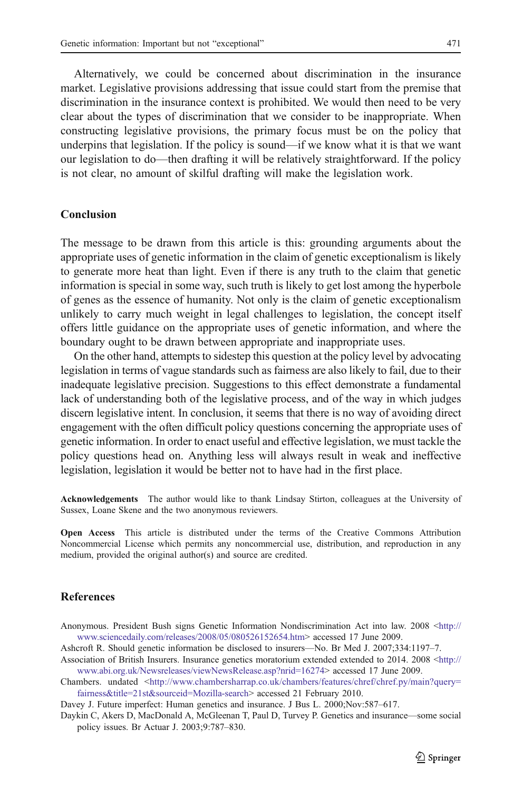<span id="page-15-0"></span>Alternatively, we could be concerned about discrimination in the insurance market. Legislative provisions addressing that issue could start from the premise that discrimination in the insurance context is prohibited. We would then need to be very clear about the types of discrimination that we consider to be inappropriate. When constructing legislative provisions, the primary focus must be on the policy that underpins that legislation. If the policy is sound—if we know what it is that we want our legislation to do—then drafting it will be relatively straightforward. If the policy is not clear, no amount of skilful drafting will make the legislation work.

#### Conclusion

The message to be drawn from this article is this: grounding arguments about the appropriate uses of genetic information in the claim of genetic exceptionalism is likely to generate more heat than light. Even if there is any truth to the claim that genetic information is special in some way, such truth is likely to get lost among the hyperbole of genes as the essence of humanity. Not only is the claim of genetic exceptionalism unlikely to carry much weight in legal challenges to legislation, the concept itself offers little guidance on the appropriate uses of genetic information, and where the boundary ought to be drawn between appropriate and inappropriate uses.

On the other hand, attempts to sidestep this question at the policy level by advocating legislation in terms of vague standards such as fairness are also likely to fail, due to their inadequate legislative precision. Suggestions to this effect demonstrate a fundamental lack of understanding both of the legislative process, and of the way in which judges discern legislative intent. In conclusion, it seems that there is no way of avoiding direct engagement with the often difficult policy questions concerning the appropriate uses of genetic information. In order to enact useful and effective legislation, we must tackle the policy questions head on. Anything less will always result in weak and ineffective legislation, legislation it would be better not to have had in the first place.

Acknowledgements The author would like to thank Lindsay Stirton, colleagues at the University of Sussex, Loane Skene and the two anonymous reviewers.

Open Access This article is distributed under the terms of the Creative Commons Attribution Noncommercial License which permits any noncommercial use, distribution, and reproduction in any medium, provided the original author(s) and source are credited.

#### References

- Anonymous. President Bush signs Genetic Information Nondiscrimination Act into law. 2008 <[http://](http://www.sciencedaily.com/releases/2008/05/080526152654.htm) [www.sciencedaily.com/releases/2008/05/080526152654.htm>](http://www.sciencedaily.com/releases/2008/05/080526152654.htm) accessed 17 June 2009.
- Ashcroft R. Should genetic information be disclosed to insurers—No. Br Med J. 2007;334:1197–7.
- Association of British Insurers. Insurance genetics moratorium extended extended to 2014. 2008 <[http://](http://www.abi.org.uk/Newsreleases/viewNewsRelease.asp?nrid=16274) [www.abi.org.uk/Newsreleases/viewNewsRelease.asp?nrid=16274](http://www.abi.org.uk/Newsreleases/viewNewsRelease.asp?nrid=16274)> accessed 17 June 2009.
- Chambers. undated <[http://www.chambersharrap.co.uk/chambers/features/chref/chref.py/main?query=](http://www.chambersharrap.co.uk/chambers/features/chref/chref.py/main?query=fairness&title=21st&sourceid=Mozilla-search) [fairness&title=21st&sourceid=Mozilla-search](http://www.chambersharrap.co.uk/chambers/features/chref/chref.py/main?query=fairness&title=21st&sourceid=Mozilla-search)> accessed 21 February 2010.
- Davey J. Future imperfect: Human genetics and insurance. J Bus L. 2000;Nov:587–617.
- Daykin C, Akers D, MacDonald A, McGleenan T, Paul D, Turvey P. Genetics and insurance—some social policy issues. Br Actuar J. 2003;9:787–830.